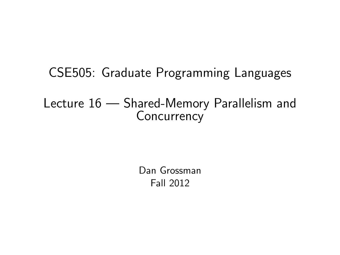CSE505: Graduate Programming Languages

Lecture 16 — Shared-Memory Parallelism and **Concurrency** 

> <span id="page-0-0"></span>Dan Grossman Fall 2012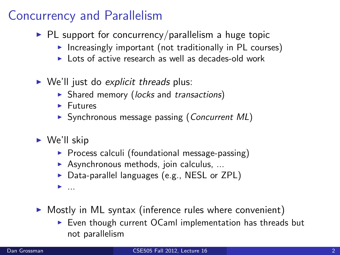#### Concurrency and Parallelism

- $\triangleright$  PL support for concurrency/parallelism a huge topic
	- Increasingly important (not traditionally in PL courses)
	- $\triangleright$  Lots of active research as well as decades-old work
- $\triangleright$  We'll just do explicit threads plus:
	- $\triangleright$  Shared memory (locks and transactions)
	- $\blacktriangleright$  Futures
	- $\triangleright$  Synchronous message passing (*Concurrent ML*)
- $\triangleright$  We'll skip
	- $\triangleright$  Process calculi (foundational message-passing)
	- $\triangleright$  Asynchronous methods, join calculus, ...
	- $\triangleright$  Data-parallel languages (e.g., NESL or ZPL)
	- <sup>I</sup> ...
- $\triangleright$  Mostly in ML syntax (inference rules where convenient)
	- $\triangleright$  Even though current OCaml implementation has threads but not parallelism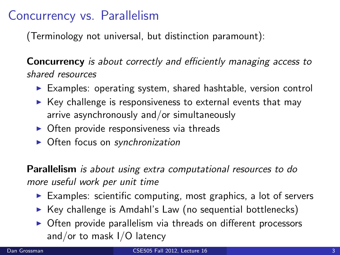#### Concurrency vs. Parallelism

(Terminology not universal, but distinction paramount):

Concurrency is about correctly and efficiently managing access to shared resources

- $\triangleright$  Examples: operating system, shared hashtable, version control
- $\triangleright$  Key challenge is responsiveness to external events that may arrive asynchronously and/or simultaneously
- $\triangleright$  Often provide responsiveness via threads
- $\triangleright$  Often focus on synchronization

Parallelism is about using extra computational resources to do more useful work per unit time

- $\triangleright$  Examples: scientific computing, most graphics, a lot of servers
- $\triangleright$  Key challenge is Amdahl's Law (no sequential bottlenecks)
- $\triangleright$  Often provide parallelism via threads on different processors and/or to mask I/O latency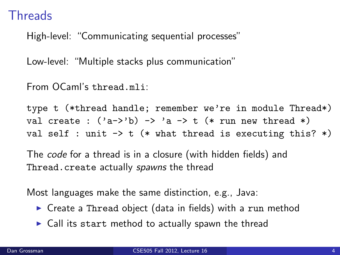#### **Threads**

High-level: "Communicating sequential processes"

Low-level: "Multiple stacks plus communication"

From OCaml's thread.mli:

type t (\*thread handle; remember we're in module Thread\*) val create :  $('a->'b) \rightarrow 'a \rightarrow t$  (\* run new thread \*) val self : unit  $\rightarrow$  t (\* what thread is executing this? \*)

The code for a thread is in a closure (with hidden fields) and Thread.create actually spawns the thread

Most languages make the same distinction, e.g., Java:

- $\triangleright$  Create a Thread object (data in fields) with a run method
- $\triangleright$  Call its start method to actually spawn the thread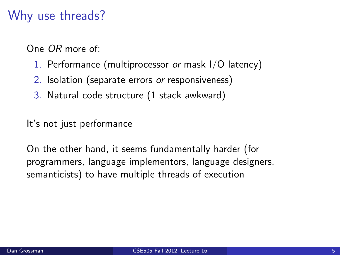#### Why use threads?

One OR more of:

- 1. Performance (multiprocessor or mask  $1/O$  latency)
- 2. Isolation (separate errors or responsiveness)
- 3. Natural code structure (1 stack awkward)

It's not just performance

On the other hand, it seems fundamentally harder (for programmers, language implementors, language designers, semanticists) to have multiple threads of execution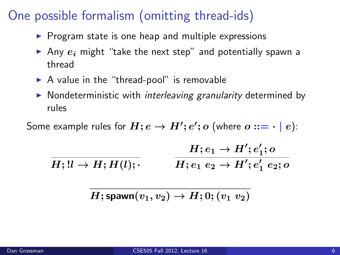#### One possible formalism (omitting thread-ids)

- $\triangleright$  Program state is one heap and multiple expressions
- Any  $e_i$  might "take the next step" and potentially spawn a thread
- $\triangleright$  A value in the "thread-pool" is removable
- $\triangleright$  Nondeterministic with *interleaving granularity* determined by rules

Some example rules for  $H; e \rightarrow H'; e'; o$  (where  $o ::= \cdot \mid e$ ):

$$
\dfrac{H;e_1\rightarrow H';e_1';o}{H;e_1\ e_2\rightarrow H';e_1'\ e_2;o}
$$

 $H$ ; spawn $(v_1, v_2) \to H$ ; 0;  $(v_1, v_2)$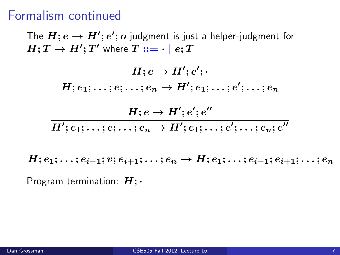#### Formalism continued

The  $H;e\to H';e';o$  judgment is just a helper-judgment for  $H;T\to H';T'$  where  $T ::= \cdot \mid e;T$ 

$$
H;e\rightarrow H';e';\cdot
$$
  

$$
\overline{H;e_1;\ldots;e;\ldots;e_n\rightarrow H';e_1;\ldots;e';\ldots;e_n}
$$
  

$$
H;e\rightarrow H';e';e''
$$
  

$$
\overline{H';e_1;\ldots;e;\ldots;e_n\rightarrow H';e_1;\ldots;e';\ldots;e_n;e''}
$$

 $H; e_1; \ldots; e_{i-1}; v; e_{i+1}; \ldots; e_n \rightarrow H; e_1; \ldots; e_{i-1}; e_{i+1}; \ldots; e_n$ 

Program termination:  $H$ :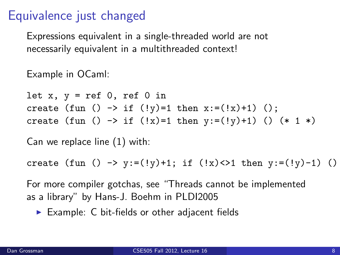#### Equivalence just changed

Expressions equivalent in a single-threaded world are not necessarily equivalent in a multithreaded context!

Example in OCaml:

let  $x, y = ref 0$ , ref 0 in create (fun () -> if (!y)=1 then  $x:=(!x)+1)$  (); create (fun () -> if (!x)=1 then  $y := (!y)+1$ ) () (\* 1 \*)

Can we replace line (1) with:

create (fun () -> y:=(!y)+1; if (!x)<>1 then y:=(!y)-1) ()

For more compiler gotchas, see "Threads cannot be implemented as a library" by Hans-J. Boehm in PLDI2005

 $\triangleright$  Example: C bit-fields or other adjacent fields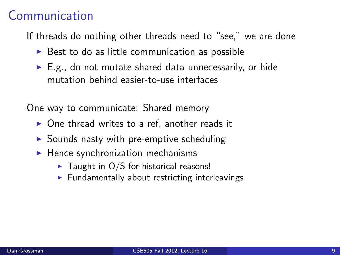#### Communication

If threads do nothing other threads need to "see," we are done

- $\triangleright$  Best to do as little communication as possible
- $\blacktriangleright$  E.g., do not mutate shared data unnecessarily, or hide mutation behind easier-to-use interfaces

One way to communicate: Shared memory

- $\triangleright$  One thread writes to a ref, another reads it
- $\triangleright$  Sounds nasty with pre-emptive scheduling
- $\blacktriangleright$  Hence synchronization mechanisms
	- $\triangleright$  Taught in O/S for historical reasons!
	- $\blacktriangleright$  Fundamentally about restricting interleavings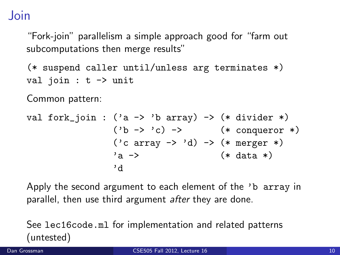Join

"Fork-join" parallelism a simple approach good for "farm out subcomputations then merge results"

(\* suspend caller until/unless arg terminates \*) val join : t -> unit

Common pattern:

val fork\_join : ('a -> 'b array) -> (\* divider \*) ('b -> 'c) -> (\* conqueror \*) ('c array -> 'd) -> (\* merger \*) 'a -> (\* data \*) 'd

Apply the second argument to each element of the 'b array in parallel, then use third argument *after* they are done.

See lec16code.ml for implementation and related patterns (untested)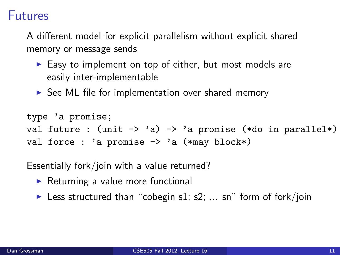#### Futures

A different model for explicit parallelism without explicit shared memory or message sends

- $\triangleright$  Easy to implement on top of either, but most models are easily inter-implementable
- $\triangleright$  See ML file for implementation over shared memory

```
type 'a promise;
val future : (unit \rightarrow 'a) \rightarrow 'a promise (*do in parallel*)val force : 'a promise -> 'a (*may block*)
```
Essentially fork/join with a value returned?

- $\triangleright$  Returning a value more functional
- Eess structured than "cobegin s1; s2; ... sn" form of fork/join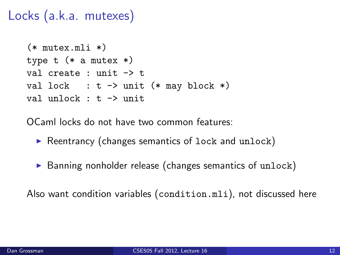#### Locks (a.k.a. mutexes)

```
(* mutex.mli *)type t (* a mutex *)
val create : unit \rightarrow t
val lock : t \rightarrow unit (* may block *)
val unlock : t -> unit
```
OCaml locks do not have two common features:

- $\triangleright$  Reentrancy (changes semantics of lock and unlock)
- $\triangleright$  Banning nonholder release (changes semantics of unlock)

Also want condition variables (condition.mli), not discussed here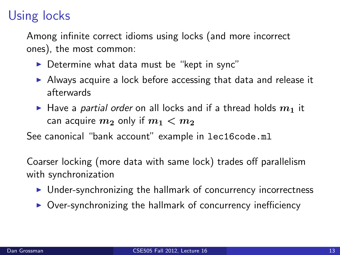#### Using locks

Among infinite correct idioms using locks (and more incorrect ones), the most common:

- $\triangleright$  Determine what data must be "kept in sync"
- $\triangleright$  Always acquire a lock before accessing that data and release it afterwards
- $\blacktriangleright$  Have a partial order on all locks and if a thread holds  $m_1$  it can acquire  $m_2$  only if  $m_1 < m_2$

See canonical "bank account" example in lec16code.ml

Coarser locking (more data with same lock) trades off parallelism with synchronization

- $\triangleright$  Under-synchronizing the hallmark of concurrency incorrectness
- $\triangleright$  Over-synchronizing the hallmark of concurrency inefficiency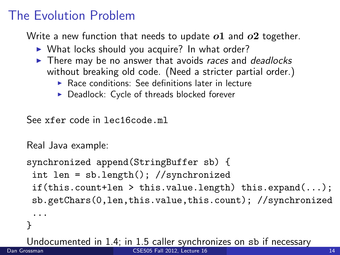#### The Evolution Problem

Write a new function that needs to update  $o1$  and  $o2$  together.

- $\triangleright$  What locks should you acquire? In what order?
- $\blacktriangleright$  There may be no answer that avoids races and deadlocks without breaking old code. (Need a stricter partial order.)
	- $\triangleright$  Race conditions: See definitions later in lecture
	- $\blacktriangleright$  Deadlock: Cycle of threads blocked forever

See xfer code in lec16code.ml

Real Java example:

```
synchronized append(StringBuffer sb) {
int len = sb.length(); //synchronized
if(this.count+len > this.value.length) this.expand(...);
sb.getChars(0,len,this.value,this.count); //synchronized
```

```
...
}
```
Undocumented in 1.4; in 1.5 caller synchronizes on sb if necessary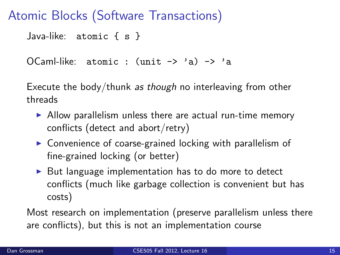Atomic Blocks (Software Transactions)

Java-like: atomic { s }

OCaml-like: atomic : (unit -> 'a) -> 'a

Execute the body/thunk as though no interleaving from other threads

- $\triangleright$  Allow parallelism unless there are actual run-time memory conflicts (detect and abort/retry)
- $\triangleright$  Convenience of coarse-grained locking with parallelism of fine-grained locking (or better)
- $\triangleright$  But language implementation has to do more to detect conflicts (much like garbage collection is convenient but has costs)

Most research on implementation (preserve parallelism unless there are conflicts), but this is not an implementation course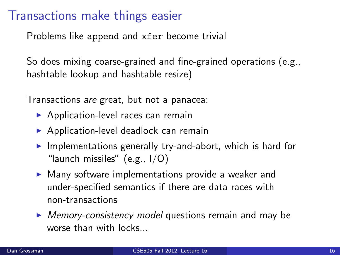#### Transactions make things easier

Problems like append and xfer become trivial

So does mixing coarse-grained and fine-grained operations (e.g., hashtable lookup and hashtable resize)

Transactions are great, but not a panacea:

- $\triangleright$  Application-level races can remain
- $\triangleright$  Application-level deadlock can remain
- $\blacktriangleright$  Implementations generally try-and-abort, which is hard for "launch missiles" (e.g.,  $I/O$ )
- $\triangleright$  Many software implementations provide a weaker and under-specified semantics if there are data races with non-transactions
- $\triangleright$  Memory-consistency model questions remain and may be worse than with locks...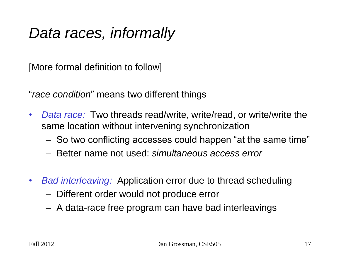# *Data races, informally*

[More formal definition to follow]

"*race condition*" means two different things

- *Data race:* Two threads read/write, write/read, or write/write the same location without intervening synchronization
	- So two conflicting accesses could happen "at the same time"
	- Better name not used: *simultaneous access error*
- *Bad interleaving:* Application error due to thread scheduling
	- Different order would not produce error
	- A data-race free program can have bad interleavings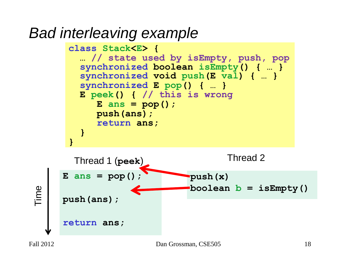### *Bad interleaving example*



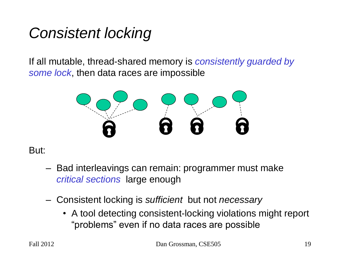## *Consistent locking*

If all mutable, thread-shared memory is *consistently guarded by some lock*, then data races are impossible



But:

- Bad interleavings can remain: programmer must make *critical sections* large enough
- Consistent locking is *sufficient* but not *necessary*
	- A tool detecting consistent-locking violations might report "problems" even if no data races are possible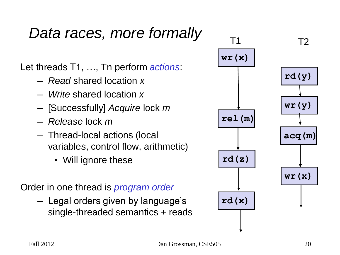Let threads T1, …, Tn perform *actions*:

- *Read* shared location *x*
- *Write* shared location *x*
- [Successfully] *Acquire* lock *m*
- *Release* lock *m*
- Thread-local actions (local variables, control flow, arithmetic)
	- Will ignore these

Order in one thread is *program order*

– Legal orders given by language's single-threaded semantics + reads

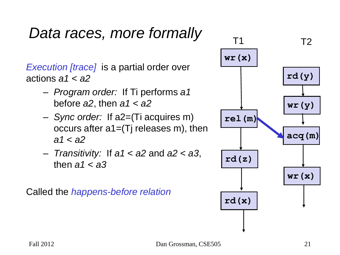*Execution [trace]* is a partial order over actions *a1* < *a2*

- *Program order:* If Ti performs *a1* before *a2*, then *a1* < *a2*
- *Sync order:* If a2=(Ti acquires m) occurs after  $a1=(Tj)$  releases m), then *a1* < *a2*
- *Transitivity:* If *a1* < *a2* and *a2* < *a3*, then *a1* < *a3*

Called the *happens-before relation*

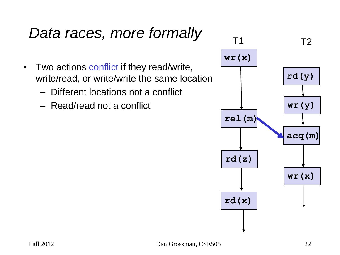- Two actions conflict if they read/write, write/read, or write/write the same location
	- Different locations not a conflict
	- Read/read not a conflict

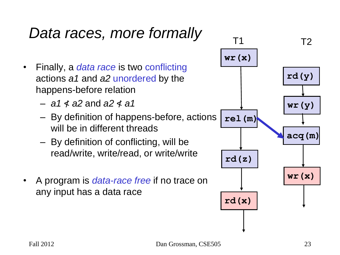- Finally, a *data race* is two conflicting actions *a1* and *a2* unordered by the happens-before relation
	- *a1* < *a2* and *a2* < *a1* / /
	- By definition of happens-before, actions will be in different threads
	- By definition of conflicting, will be read/write, write/read, or write/write
- A program is *data-race free* if no trace on any input has a data race

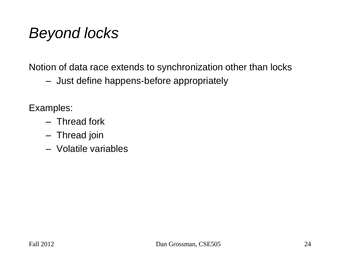## *Beyond locks*

Notion of data race extends to synchronization other than locks

– Just define happens-before appropriately

Examples:

- Thread fork
- Thread join
- Volatile variables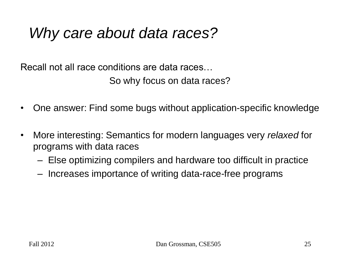### *Why care about data races?*

Recall not all race conditions are data races… So why focus on data races?

- One answer: Find some bugs without application-specific knowledge
- More interesting: Semantics for modern languages very *relaxed* for programs with data races
	- Else optimizing compilers and hardware too difficult in practice
	- Increases importance of writing data-race-free programs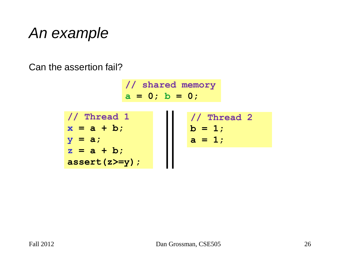## *An example*

Can the assertion fail?

**// shared memory**  $a = 0; b = 0;$ **// Thread 1 x = a + b; y = a; z = a + b; assert(z>=y); // Thread 2 b = 1; a = 1;**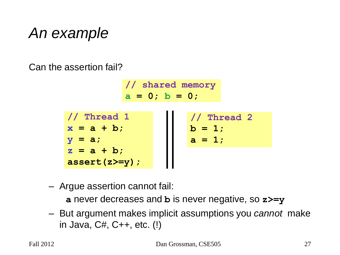# *An example*

Can the assertion fail?

**// shared memory**  $a = 0$ ;  $b = 0$ ; **// Thread 1 x = a + b; y = a; z = a + b; assert(z>=y); // Thread 2 b = 1; a = 1;**

– Argue assertion cannot fail:

**a** never decreases and **b** is never negative, so **z>=y**

– But argument makes implicit assumptions you *cannot* make in Java, C#, C++, etc. (!)

Fall 2012 Dan Grossman, CSE505 27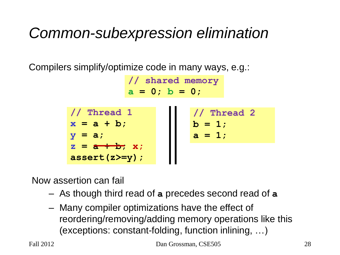# *Common-subexpression elimination*

Compilers simplify/optimize code in many ways, e.g.:

**// shared memory a = 0; b = 0;** 



Now assertion can fail

- As though third read of **a** precedes second read of **a**
- Many compiler optimizations have the effect of reordering/removing/adding memory operations like this (exceptions: constant-folding, function inlining, …)

Fall 2012 Dan Grossman, CSE505 28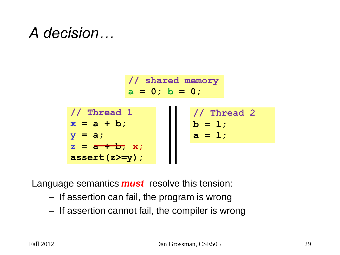### *A decision…*

**// shared memory a = 0; b = 0;** 



Language semantics *must* resolve this tension:

- If assertion can fail, the program is wrong
- If assertion cannot fail, the compiler is wrong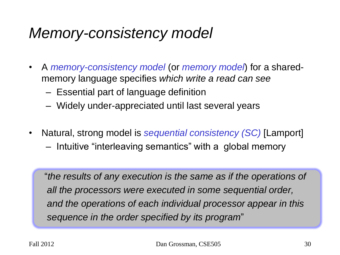## *Memory-consistency model*

- A *memory-consistency model* (or *memory model*) for a sharedmemory language specifies *which write a read can see*
	- Essential part of language definition
	- Widely under-appreciated until last several years
- Natural, strong model is *sequential consistency (SC)* [Lamport]
	- Intuitive "interleaving semantics" with a global memory

 "*the results of any execution is the same as if the operations of all the processors were executed in some sequential order, and the operations of each individual processor appear in this sequence in the order specified by its program*"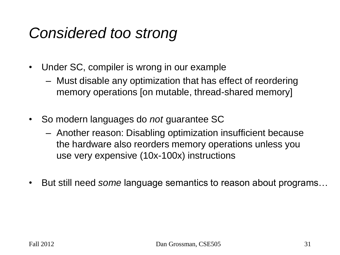## *Considered too strong*

- Under SC, compiler is wrong in our example
	- Must disable any optimization that has effect of reordering memory operations [on mutable, thread-shared memory]
- So modern languages do *not* guarantee SC
	- Another reason: Disabling optimization insufficient because the hardware also reorders memory operations unless you use very expensive (10x-100x) instructions
- But still need *some* language semantics to reason about programs…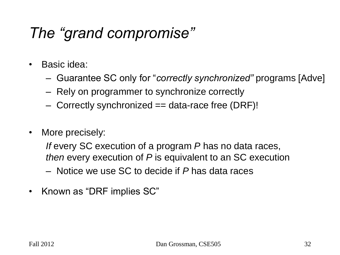# *The "grand compromise"*

- Basic idea:
	- Guarantee SC only for "*correctly synchronized"* programs [Adve]
	- Rely on programmer to synchronize correctly
	- $-$  Correctly synchronized  $==$  data-race free (DRF)!
- More precisely:

*If* every SC execution of a program *P* has no data races, *then* every execution of *P* is equivalent to an SC execution

- Notice we use SC to decide if *P* has data races
- Known as "DRF implies SC"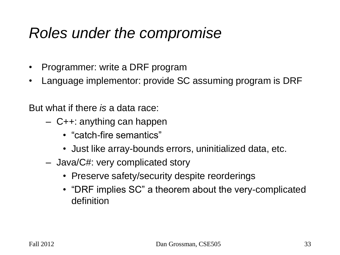### *Roles under the compromise*

- Programmer: write a DRF program
- Language implementor: provide SC assuming program is DRF

But what if there *is* a data race:

- C++: anything can happen
	- "catch-fire semantics"
	- Just like array-bounds errors, uninitialized data, etc.
- Java/C#: very complicated story
	- Preserve safety/security despite reorderings
	- "DRF implies SC" a theorem about the very-complicated definition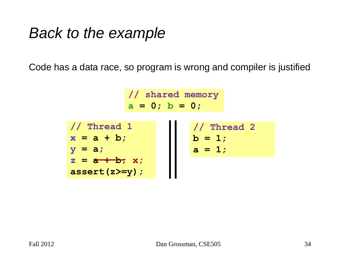Code has a data race, so program is wrong and compiler is justified

**// shared memory**  $a = 0$ ;  $b = 0$ ; **// Thread 1 x = a + b; y = a;**  $z = a + b$ ; x; **assert(z>=y); // Thread 2**  $b = 1;$ **a = 1;**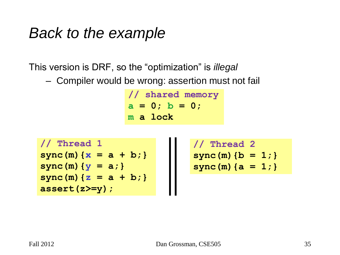This version is DRF, so the "optimization" is *illegal*

– Compiler would be wrong: assertion must not fail

**// shared memory a = 0; b = 0; m a lock** 

```
// Thread 1
sync(m){x = a + b;}
sync(m){y = a;}
sync(m){z = a + b;}
assert(z>=y);
```

```
// Thread 2
sync(m){b = 1;}
sync(m){a = 1;}
```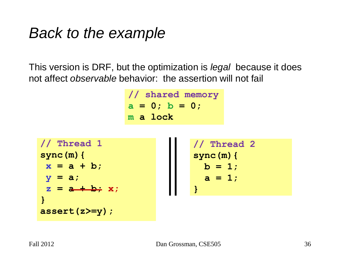This version is DRF, but the optimization is *legal* because it does not affect *observable* behavior: the assertion will not fail

> **// shared memory a = 0; b = 0; m a lock**



```
// Thread 2\n
$$
sync(m) {\n    b = 1;\n    a = 1;\n}
$$

```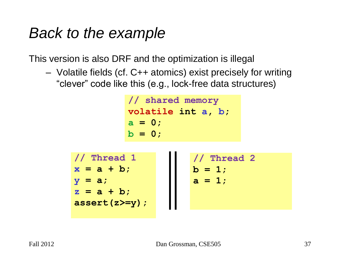This version is also DRF and the optimization is illegal

– Volatile fields (cf. C++ atomics) exist precisely for writing "clever" code like this (e.g., lock-free data structures)

```
// shared memory
volatile int a, b;
a = 0;
b = 0;
```
**// Thread 1 x = a + b; y = a; z = a + b; assert(z>=y);**

**// Thread 2 b = 1; a = 1;**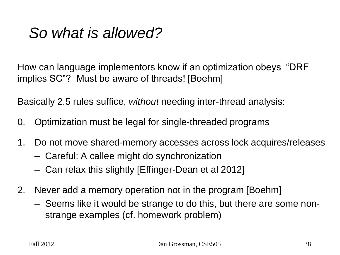## *So what is allowed?*

How can language implementors know if an optimization obeys "DRF implies SC"? Must be aware of threads! [Boehm]

Basically 2.5 rules suffice, *without* needing inter-thread analysis:

- 0. Optimization must be legal for single-threaded programs
- 1. Do not move shared-memory accesses across lock acquires/releases
	- Careful: A callee might do synchronization
	- Can relax this slightly [Effinger-Dean et al 2012]
- 2. Never add a memory operation not in the program [Boehm]
	- Seems like it would be strange to do this, but there are some nonstrange examples (cf. homework problem)